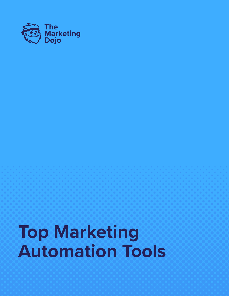

# **Top Marketing Automation Tools**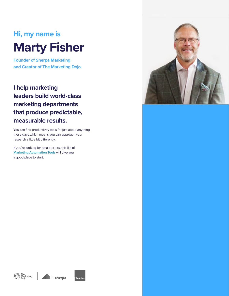# **Hi, my name is Marty Fisher**

**Founder of Sherpa Marketing and Creator of The Marketing Dojo.**

# **I help marketing leaders build world-class marketing departments that produce predictable, measurable results.**

You can find productivity tools for just about anything these days which means you can approach your research a little bit differently.

If you're looking for idea-starters, this list of **Marketing Automation Tools** will give you a good place to start.







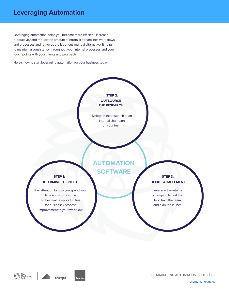# **Leveraging Automation**

Leveraging automation helps you become more efficient, increase productivity and reduce the amount of errors. It streamlines work-flows and processes and removes the laborious manual alternative. It helps to maintain a consistency throughout your internal processes and your touch points with your clients and prospects.

Here's how to start leveraging automation for your business today.



Delegate the research to an internal champion on your team

#### **DETERMINE THE NEED DECIDE & IMPLEMENT STEP 1:**

Pay attention to how you spend your time and short-list the highest-value opportunities for business / process improvement to your workflow

### **AUTOMATION SOFTWARE**

**STEP 3:**

Leverage the internal champion to test the tool, train the team, and plan the launch.



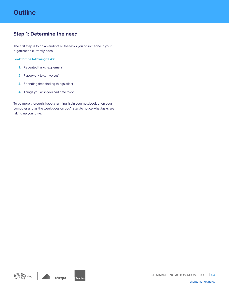#### **Step 1: Determine the need**

The first step is to do an audit of all the tasks you or someone in your organization currently does.

#### **Look for the following tasks:**

- **1.** Repeated tasks (e.g. emails)
- **2.** Paperwork (e.g. invoices)
- **3.** Spending time finding things (files)
- **4.** Things you wish you had time to do

To be more thorough, keep a running list in your notebook or on your computer and as the week goes on you'll start to notice what tasks are taking up your time.







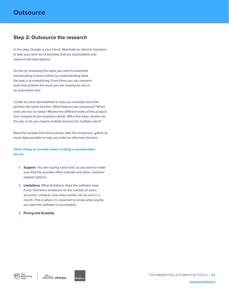#### **Step 2: Outsource the research**

In this step, Google is your friend. Nominate an internal champion to take your wish list of activities that are automatable and research the best options.

Do this by reviewing the tasks you want to automate and breaking it down further by understanding what the task is accomplishing. From there you can research tools that achieve the result you are looking for out of an automation tool.

Create an excel spreadsheet to help you evaluate tools that perform the same function. What features are necessary? Which ones are nice to haves? Review the different levels of the product and compare to you business needs. Will a free basic version do the job, or do you require multiple licenses for multiple users?

Read the reviews from third parties, take the virtual tour, gather as much data possible to help you make an informed decision.

#### **Other things to consider when creating a consideration list are:**

- **1. Support**: You are buying a tech tool, so you want to make sure that the provider offers tutorials and other customer support options.
- **2. Limitations**: What limitations does the software have if any? Are there limitations on the number of users, accounts, contacts, how many emails can be sent in a month. This is where it's important to know what exactly you want the software to accomplish.
- **2. Pricing and Scalabily**

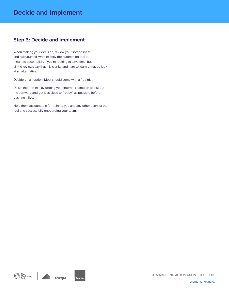#### **Step 3: Decide and implement**

When making your decision, review your spreadsheet and ask yourself, what exactly the automation tool is meant to accomplish. If you're looking to save time, but all the reviews say that it is clunky and hard to learn.... maybe look at an alternative.

Decide on an option. Most should come with a free trial.

Utilize the free trial by getting your internal champion to test out the software and get it as close to "ready" as possible before pushing it live.

Hold them accountable for training you and any other users of the tool and successfully onboarding your team.



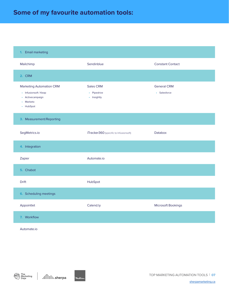# **Some of my favourite automation tools:**

#### **1.** Email marketing

| Mailchimp                                                                                                  | Sendinblue                                     | <b>Constant Contact</b>            |
|------------------------------------------------------------------------------------------------------------|------------------------------------------------|------------------------------------|
| 2. CRM                                                                                                     |                                                |                                    |
| <b>Marketing Automation CRM</b><br>• Infusionsoft / Keap<br>• Activecampaign<br>Marketo<br>×.<br>• HubSpot | <b>Sales CRM</b><br>• Pipedrive<br>• Insightly | <b>General CRM</b><br>• Salesforce |
| 3. Measurement/Reporting                                                                                   |                                                |                                    |
| SegMetrics.io                                                                                              | iTracker360 (specific to Infusionsoft)         | <b>Databox</b>                     |
| 4. Integration                                                                                             |                                                |                                    |
| Zapier                                                                                                     | Automate.io                                    |                                    |
| 5. Chabot                                                                                                  |                                                |                                    |
| <b>Drift</b>                                                                                               | HubSpot                                        |                                    |
| 6. Scheduling meetings                                                                                     |                                                |                                    |
| Appointlet                                                                                                 | Calend.ly                                      | Microsoft Bookings                 |
| 7. Workflow                                                                                                |                                                |                                    |

#### Automate.io



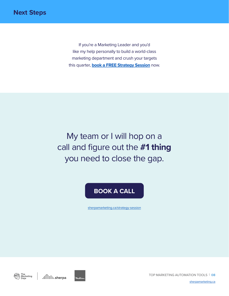If you're a Marketing Leader and you'd like my help personally to build a world-class marketing department and crush your targets this quarter, **[book a FREE Strategy Session](https://www.sherpamarketing.ca/strategy-session)** now.

My team or I will hop on a call and figure out the **#1 thing**  you need to close the gap.

## **[BOOK A CALL](https://www.sherpamarketing.ca/strategy-session)**

[sherpamarketing.ca/strategy-session](https://www.sherpamarketing.ca/strategy-session)